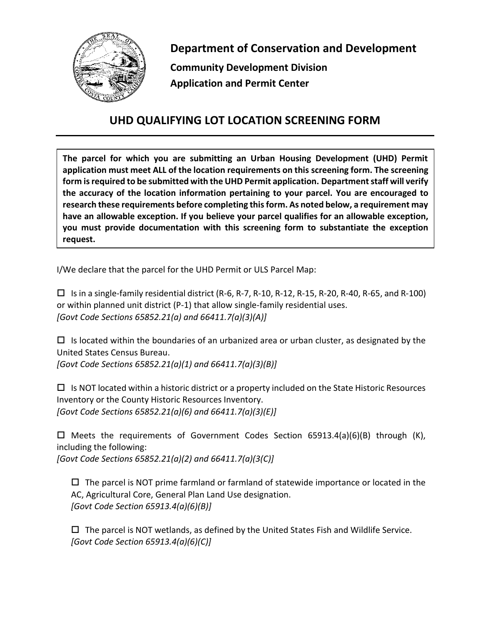

**Department of Conservation and Development**

**Community Development Division Application and Permit Center**

## **UHD QUALIFYING LOT LOCATION SCREENING FORM**

**The parcel for which you are submitting an Urban Housing Development (UHD) Permit application must meet ALL of the location requirements on this screening form. The screening form is required to be submitted with the UHD Permit application. Department staff will verify the accuracy of the location information pertaining to your parcel. You are encouraged to research these requirements before completing this form. As noted below, a requirement may have an allowable exception. If you believe your parcel qualifies for an allowable exception, you must provide documentation with this screening form to substantiate the exception request.**

I/We declare that the parcel for the UHD Permit or ULS Parcel Map:

 $\Box$  Is in a single-family residential district (R-6, R-7, R-10, R-12, R-15, R-20, R-40, R-65, and R-100) or within planned unit district (P-1) that allow single-family residential uses. *[Govt Code Sections 65852.21(a) and 66411.7(a)(3)(A)]*

 $\Box$  Is located within the boundaries of an urbanized area or urban cluster, as designated by the United States Census Bureau. *[Govt Code Sections 65852.21(a)(1) and 66411.7(a)(3)(B)]*

 $\Box$  Is NOT located within a historic district or a property included on the State Historic Resources Inventory or the County Historic Resources Inventory. *[Govt Code Sections 65852.21(a)(6) and 66411.7(a)(3)(E)]*

 $\Box$  Meets the requirements of Government Codes Section 65913.4(a)(6)(B) through (K), including the following:

*[Govt Code Sections 65852.21(a)(2) and 66411.7(a)(3(C)]*

 $\Box$  The parcel is NOT prime farmland or farmland of statewide importance or located in the AC, Agricultural Core, General Plan Land Use designation. *[Govt Code Section 65913.4(a)(6)(B)]*

 $\Box$  The parcel is NOT wetlands, as defined by the United States Fish and Wildlife Service. *[Govt Code Section 65913.4(a)(6)(C)]*